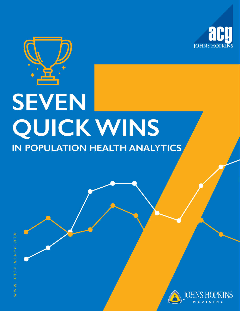

# **QUICK WINS SEVEN IN POPULATION HEALTH ANALYTICS**

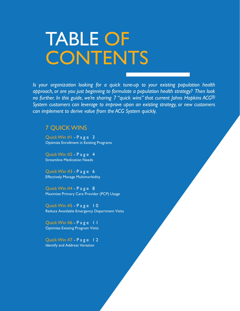## TABLE OF **CONTENTS**

*Is your organization looking for a quick tune-up to your existing population health approach, or are you just beginning to formulate a population health strategy? Then look no further. In this guide, we're sharing 7 "quick wins" that current Johns Hopkins ACG® System customers can leverage to improve upon an existing strategy, or new customers can implement to derive value from the ACG System quickly.* 

#### 7 QUICK WINS

Quick Win #1 - Page 3 [Optimize Enrollment in Existing Programs](#page-2-0) 

Quick Win #2 - Page 4 [Streamline Medication Needs](#page-3-0) 

Quick Win #3 - Page 6 [Effectively Manage Multimorbidity](#page-5-0)

Quick Win #4 - Page 8 [Maximize Primary Care Provider \(PCP\) Usage](#page-7-0)

Quick Win  $#5 - P$  a g e  $\pm 0$ [Reduce Avoidable Emergency Department Visits](#page-9-0) 

Quick Win #6 - Page 11 [Optimize Existing Program Visits](#page-10-0) 

Quick Win #7 Page 12 [Identify and Address Variation](#page-11-0)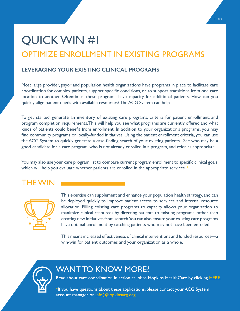### <span id="page-2-0"></span>QUICK WIN #1 OPTIMIZE ENROLLMENT IN EXISTING PROGRAMS

#### **LEVERAGING YOUR EXISTING CLINICAL PROGRAMS**

Most large provider, payor and population health organizations have programs in place to facilitate care coordination for complex patients, support specific conditions, or to support transitions from one care location to another. Oftentimes, these programs have capacity for additional patients. How can you quickly align patient needs with available resources? The ACG System can help.

To get started, generate an inventory of existing care programs, criteria for patient enrollment, and program completion requirements. This will help you see what programs are currently offered and what kinds of patients could benefit from enrollment. In addition to your organization's programs, you may find community programs or locally-funded initiatives. Using the patient enrollment criteria, you can use the ACG System to quickly generate a case-finding search of your existing patients. See who may be a good candidate for a care program, who is not already enrolled in a program, and refer as appropriate.

You may also use your care program list to compare current program enrollment to specific clinical goals, which will help you evaluate whether patients are enrolled in the appropriate services.\*

### THE WIN



This exercise can supplement and enhance your population health strategy, and can be deployed quickly to improve patient access to services and internal resource allocation. Filling existing care programs to capacity allows your organization to maximize clinical resources by directing patients to existing programs, rather than creating new initiatives from scratch. You can also ensure your existing care programs have optimal enrollment by catching patients who may not have been enrolled.

This means increased effectiveness of clinical interventions and funded resources—a win-win for patient outcomes and your organization as a whole.



### WANT TO KNOW MORE?

Read about care coordination in action at Johns Hopkins HealthCare by clicking [HERE.](https://www.hopkinsacg.org/document/population-health-management-through-care-coordination-and-interventions-2/)

\*If you have questions about these applications, please contact your ACG System account manager or [info@hopkinsacg.org.](mailto:info%40hopkinsacg.org?subject=)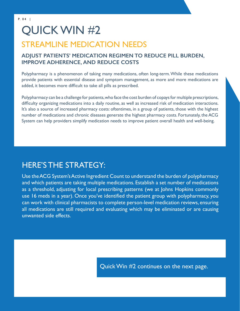### <span id="page-3-0"></span>QUICK WIN #2

### STREAMLINE MEDICATION NEEDS

#### **ADJUST PATIENTS' MEDICATION REGIMEN TO REDUCE PILL BURDEN, IMPROVE ADHERENCE, AND REDUCE COSTS**

Polypharmacy is a phenomenon of taking many medications, often long-term. While these medications provide patients with essential disease and symptom management, as more and more medications are added, it becomes more difficult to take all pills as prescribed.

Polypharmacy can be a challenge for patients, who face the cost burden of copays for multiple prescriptions, difficulty organizing medications into a daily routine, as well as increased risk of medication interactions. It's also a source of increased pharmacy costs: oftentimes, in a group of patients, those with the highest number of medications and chronic diseases generate the highest pharmacy costs. Fortunately, the ACG System can help providers simplify medication needs to improve patient overall health and well-being.

### HERE'S THE STRATEGY:

Use the ACG System's Active Ingredient Count to understand the burden of polypharmacy and which patients are taking multiple medications. Establish a set number of medications as a threshold, adjusting for local prescribing patterns (we at Johns Hopkins commonly use 16 meds in a year). Once you've identified the patient group with polypharmacy, you can work with clinical pharmacists to complete person-level medication reviews, ensuring all medications are still required and evaluating which may be eliminated or are causing unwanted side effects.

Quick Win #2 continues on the next page.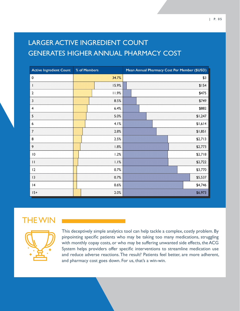#### | P. 0 5

### LARGER ACTIVE INGREDIENT COUNT GENERATES HIGHER ANNUAL PHARMACY COST

| <b>Active Ingredient Count</b> | % of Members |      |       | Mean Annual Pharmacy Cost Per Member (\$USD) |  |  |         |         |         |         |         |
|--------------------------------|--------------|------|-------|----------------------------------------------|--|--|---------|---------|---------|---------|---------|
| $\pmb{0}$                      | 34.7%        |      |       | \$3                                          |  |  |         |         |         |         |         |
| I.                             |              |      | 15.9% |                                              |  |  |         |         |         |         | \$154   |
| $\mathbf 2$                    |              |      | 11.9% |                                              |  |  |         | \$475   |         |         |         |
| 3                              |              | 8.5% |       |                                              |  |  |         | \$749   |         |         |         |
| $\overline{4}$                 |              |      | 6.4%  |                                              |  |  |         | \$882   |         |         |         |
| 5                              |              |      | 5.0%  |                                              |  |  | \$1,247 |         |         |         |         |
| 6                              |              | 4.1% |       |                                              |  |  |         |         | \$1,614 |         |         |
| $\overline{7}$                 |              | 2.8% |       |                                              |  |  |         |         |         | \$1,851 |         |
| 8                              |              | 2.5% |       |                                              |  |  |         |         | \$2,713 |         |         |
| 9                              |              | 1.8% |       |                                              |  |  |         | \$2,773 |         |         |         |
| 10                             |              | 1.2% |       |                                              |  |  |         |         |         | \$2,718 |         |
| $\mathbf{H}$                   | 1.1%         |      |       |                                              |  |  |         |         | \$2,722 |         |         |
| 12                             | 0.7%         |      |       | \$3,770                                      |  |  |         |         |         |         |         |
| 13                             | 0.7%         |      |       | \$5,537                                      |  |  |         |         |         |         |         |
| 4                              |              | 0.6% |       |                                              |  |  |         |         |         | \$4,746 |         |
| $15+$                          |              |      | 2.0%  |                                              |  |  |         |         |         |         | \$6,973 |

### THE WIN



This deceptively simple analytics tool can help tackle a complex, costly problem. By pinpointing specific patients who may be taking too many medications, struggling with monthly copay costs, or who may be suffering unwanted side effects, the ACG System helps providers offer specific interventions to streamline medication use and reduce adverse reactions. The result? Patients feel better, are more adherent, and pharmacy cost goes down. For us, that's a win-win.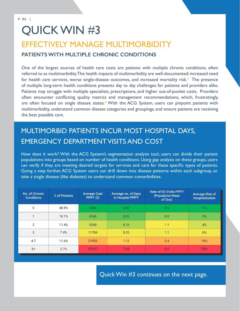### <span id="page-5-0"></span>QUICK WIN #3

### EFFECTIVELY MANAGE MULTIMORBIDITY **PATIENTS WITH MULTIPLE CHRONIC CONDITIONS**

One of the largest sources of health care costs are patients with multiple chronic conditions, often referred to as multimorbidity. The health impacts of multimorbidity are well-documented: increased need for health care services, worse single-disease outcomes, and increased mortality risk.**1** The presence of multiple long-term health conditions presents day to day challenges for patients and providers alike. Patients may struggle with multiple specialists, prescriptions, and higher out-of-pocket costs. Providers often encounter conflicting quality metrics and management recommendations, which, frustratingly, are often focused on single disease states.**2** With the ACG System, users can pinpoint patients with multimorbidity, understand common disease categories and groupings, and ensure patients are receiving the best possible care.

### MULTIMORBID PATIENTS INCUR MOST HOSPITAL DAYS, EMERGENCY DEPARTMENT VISITS AND COST

How does it work? With the ACG System's segmentation analysis tool, users can divide their patient populations into groups based on number of health conditions. Using gap analysis on these groups, users can verify if they are meeting desired targets for services and care for these specific types of patients. Going a step further, ACG System users can drill down into disease patterns within each subgroup, or take a single disease (like diabetes) to understand common comorbidities.

| No. of Chronic<br><b>Conditions</b> | % of Patients | <b>Average Cost</b><br>PPPY (\$) | Average no. of Days<br>in Hospital PPPY | <b>Rate of ED Visits PPPY</b><br>(Population Mean<br>of One) | <b>Average Risk of</b><br><b>Hospitalization</b> |
|-------------------------------------|---------------|----------------------------------|-----------------------------------------|--------------------------------------------------------------|--------------------------------------------------|
| $\mathbf{0}$                        | 48.9%         | 1454                             | 0.00                                    | 0.5                                                          | $1\%$                                            |
| $\blacktriangleleft$                | 18.1%         | 4566                             | 0.05                                    | 0.8                                                          | 3%                                               |
| $\overline{2}$                      | 11.4%         | 8268                             | 0.16                                    | 1.1                                                          | 4%                                               |
| 3                                   | 7.4%          | 11704                            | 0.35                                    | 1.1                                                          | 6%                                               |
| $4 - 7$                             | 11.6%         | 21955                            | 1.12                                    | 2.4                                                          | 10%                                              |
| $8+$                                | 2.7%          | 53147                            | 7.44                                    | 5.6                                                          | 25%                                              |

Quick Win #3 continues on the next page.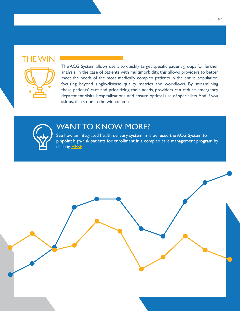### THE WIN



The ACG System allows users to quickly target specific patient groups for further analysis. In the case of patients with multimorbidity, this allows providers to better meet the needs of the most medically complex patients in the entire population, focusing beyond single-disease quality metrics and workflows. By streamlining these patients' care and prioritizing their needs, providers can reduce emergency department visits, hospitalizations, and ensure optimal use of specialists. And if you ask us, that's one in the win column.



### WANT TO KNOW MORE?

See how an integrated health delivery system in Israel used the ACG System to pinpoint high-risk patients for enrollment in a complex care management program by clicking [HERE](https://www.hopkinsacg.org/document/care-management-program-case-study-payer-2/).

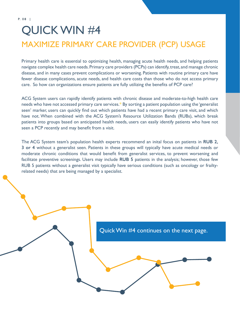### <span id="page-7-0"></span>QUICK WIN #4 MAXIMIZE PRIMARY CARE PROVIDER (PCP) USAGE

Primary health care is essential to optimizing health, managing acute health needs, and helping patients navigate complex health care needs. Primary care providers (PCPs) can identify, treat, and manage chronic disease, and in many cases prevent complications or worsening. Patients with routine primary care have fewer disease complications, acute needs, and health care costs than those who do not access primary care. So how can organizations ensure patients are fully utilizing the benefits of PCP care?

ACG System users can rapidly identify patients with chronic disease and moderate-to-high health care needs who have not accessed primary care services.\* By sorting a patient population using the 'generalist seen' marker, users can quickly find out which patients have had a recent primary care visit, and which have not. When combined with the ACG System's Resource Utilization Bands (RUBs), which break patients into groups based on anticipated health needs, users can easily identify patients who have not seen a PCP recently and may benefit from a visit.

The ACG System team's population health experts recommend an inital focus on patients in **RUB 2, 3 or 4** without a generalist seen. Patients in these groups will typically have acute medical needs or moderate chronic conditions that would benefit from generalist services, to prevent worsening and facilitate preventive screenings. Users may include **RUB 5** patients in the analysis; however, those few RUB 5 patients without a generalist visit typically have serious conditions (such as oncology or frailtyrelated needs) that are being managed by a specialist.

### Quick Win #4 continues on the next page.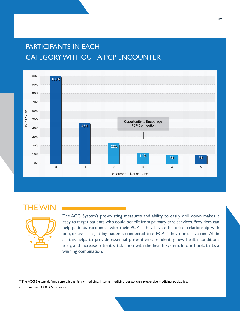### PARTICIPANTS IN EACH CATEGORY WITHOUT A PCP ENCOUNTER



### THE WIN



The ACG System's pre-existing measures and ability to easily drill down makes it easy to target patients who could benefit from primary care services. Providers can help patients reconnect with their PCP if they have a historical relationship with one, or assist in getting patients connected to a PCP if they don't have one. All in all, this helps to provide essential preventive care, identify new health conditions early, and increase patient satisfaction with the health system. In our book, that's a winning combination.

\* The ACG System defines generalist as family medicine, internal medicine, geriatrician, preventive medicine, pediatrician, or, for women, OBGYN services.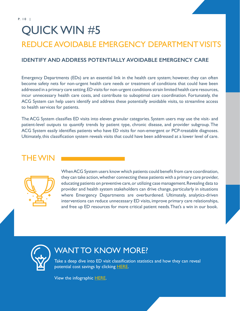### <span id="page-9-0"></span>QUICK WIN #5 REDUCE AVOIDABLE EMERGENCY DEPARTMENT VISITS

#### **IDENTIFY AND ADDRESS POTENTIALLY AVOIDABLE EMERGENCY CARE**

Emergency Departments (EDs) are an essential link in the health care system; however, they can often become safety nets for non-urgent health care needs or treatment of conditions that could have been addressed in a primary care setting. ED visits for non-urgent conditions strain limited health care resources, incur unnecessary health care costs, and contribute to suboptimal care coordination. Fortunately, the ACG System can help users identify and address these potentially avoidable visits, to streamline access to health services for patients.

The ACG System classifies ED visits into eleven granular categories. System users may use the visit- and patient-level outputs to quantify trends by patient type, chronic disease, and provider subgroup. The ACG System easily identifies patients who have ED visits for non-emergent or PCP-treatable diagnoses. Ultimately, this classification system reveals visits that could have been addressed at a lower level of care.

### THE WIN



When ACG System users know which patients could benefit from care coordination, they can take action, whether connecting these patients with a primary care provider, educating patients on preventive care, or utilizing case management. Revealing data to provider and health system stakeholders can drive change, particularly in situations where Emergency Departments are overburdened. Ultimately, analytics-driven interventions can reduce unnecessary ED visits, improve primary care relationships, and free up ED resources for more critical patient needs. That's a win in our book.



### WANT TO KNOW MORE?

Take a deep dive into ED visit classification statistics and how they can reveal potential cost savings by clicking **HERE**.

View the infographic **HERE**.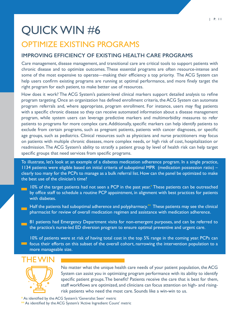### <span id="page-10-0"></span>QUICK WIN #6

### OPTIMIZE EXISTING PROGRAMS

#### **IMPROVING EFFICIENCY OF EXISTING HEALTH CARE PROGRAMS**

Care management, disease management, and transitional care are critical tools to support patients with chronic disease and to optimize outcomes. These essential programs are often resource-intense and some of the most expensive to operate—making their efficiency a top priority. The ACG System can help users confirm existing programs are running at optimal performance, and more finely target the right program for each patient, to make better use of resources.

How does it work? The ACG System's patient-level clinical markers support detailed analysis to refine program targeting. Once an organization has defined enrollment criteria, the ACG System can automate program referrals and, where appropriate, program enrollment. For instance, users may flag patients with a specific chronic disease so they can receive automated information about a disease management program, while system users can leverage predictive markers and multimorbidity measures to refer patients to programs for more complex care. Additionally, specific markers can help identify patients to exclude from certain programs, such as pregnant patients, patients with cancer diagnoses, or specific age groups, such as pediatrics. Clinical resources such as physicians and nurse practitioners may focus on patients with multiple chronic diseases, more complex needs, or high risk of cost, hospitalization or readmission. The ACG System's ability to stratify a patient group by level of health risk can help target specific groups that need services from specific programs.

To illustrate, let's look at an example of a diabetes medication adherence program. In a single practice, 1134 patients were eligible based on initial criteria of suboptimal MPR (medication possession ratio) – clearly too many for the PCPs to manage as a bulk referral list. How can the panel be optimized to make the best use of the clinician's time?

- 10% of the target patients had not seen a PCP in the past year.**\*** These patients can be outreached by office staff to schedule a routine PCP appointment, in alignment with best practices for patients with diabetes.
- Half the patients had suboptimal adherence and polypharmacy.**\*\*** These patients may see the clinical pharmacist for review of overall medication regimen and assistance with medication adherence.
- 81 patients had Emergency Department visits for non-emergent purposes, and can be referred to the practice's nurse-led ED diversion program to ensure optimal preventive and urgent care.

10% of patients were at risk of having total cost in the top 5% range in the coming year. PCPs can **Follow** focus their efforts on this subset of the overall cohort, narrowing the intervention population to a more manageable size.

### THE WIN



No matter what the unique health care needs of your patient population, the ACG System can assist you in optimizing program performance with its ability to identify specific patient groups. The benefit? Patients receive the care that is best for them, staff workflows are optimized, and clinicians can focus attention on high- and risingrisk patients who need the most care. Sounds like a win-win to us.

\* As identified by the ACG System's 'Generalist Seen' metric \*\* As identified by the ACG System's 'Active Ingredient Count' metric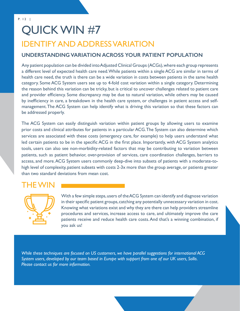### <span id="page-11-0"></span>QUICK WIN #7 IDENTIFY AND ADDRESS VARIATION

#### **UNDERSTANDING VARIATION ACROSS YOUR PATIENT POPULATION**

Any patient population can be divided into Adjusted Clinical Groups (ACGs), where each group represents a different level of expected health care need. While patients within a single ACG are similar in terms of health care need, the truth is there can be a wide variation in costs between patients in the same health category. Some ACG System users see up to 4-fold cost variation within a single category. Determining the reason behind this variation can be tricky, but is critical to uncover challenges related to patient care and provider efficiency. Some discrepancy may be due to natural variation, while others may be caused by inefficiency in care, a breakdown in the health care system, or challenges in patient access and selfmanagement. The ACG System can help identify what is driving this variation so that these factors can be addressed properly.

The ACG System can easily distinguish variation within patient groups by allowing users to examine prior costs and clinical attributes for patients in a particular ACG. The System can also determine which services are associated with these costs (emergency care, for example) to help users understand what led certain patients to be in the specific ACG in the first place. Importantly, with ACG System analytics tools, users can also see non-morbidity-related factors that may be contributing to variation between patients, such as patient behavior, over-provision of services, care coordination challenges, barriers to access, and more. ACG System users commonly deep-dive into subsets of patients with a moderate-tohigh level of complexity, patient subsets with costs 2-3x more than the group average, or patients greater than two standard deviations from mean cost.

### THE WIN



With a few simple steps, users of the ACG System can identify and diagnose variation in their specific patient groups, catching any potentially unnecessary variation in cost. Knowing what variations exist and why they are there can help providers streamline procedures and services, increase access to care, and ultimately improve the care patients receive and reduce health care costs. And that's a winning combination, if you ask us!

*While these techniques are focused on US customers, we have parallel suggestions for international ACG System users, developed by our team based in Europe with support from one of our UK users, Sollis. Please contact us for more information.*